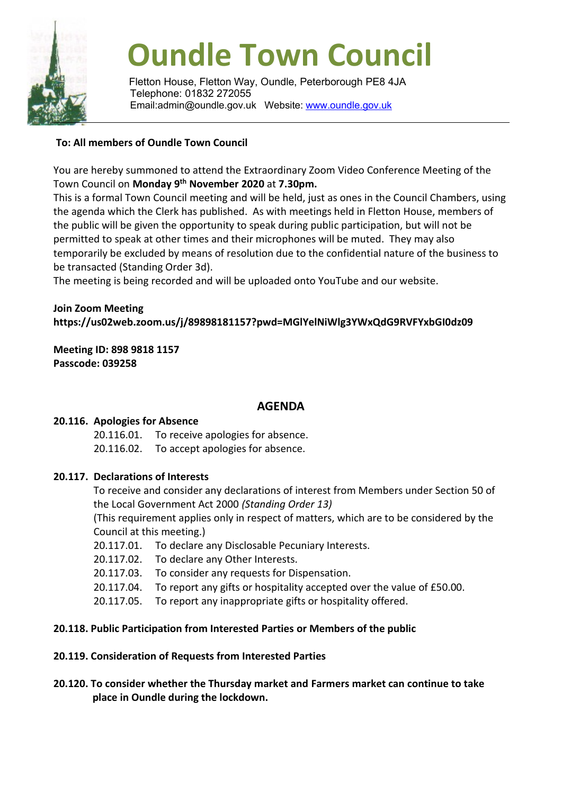

# **Oundle Town Council**

Fletton House, Fletton Way, Oundle, Peterborough PE8 4JA Telephone: 01832 272055 Email:admin@oundle.gov.uk Website: [www.oundle.gov.uk](http://www.oundle.gov.uk/)

## **To: All members of Oundle Town Council**

You are hereby summoned to attend the Extraordinary Zoom Video Conference Meeting of the Town Council on **Monday 9 th November 2020** at **7.30pm.**

This is a formal Town Council meeting and will be held, just as ones in the Council Chambers, using the agenda which the Clerk has published. As with meetings held in Fletton House, members of the public will be given the opportunity to speak during public participation, but will not be permitted to speak at other times and their microphones will be muted. They may also temporarily be excluded by means of resolution due to the confidential nature of the business to be transacted (Standing Order 3d).

The meeting is being recorded and will be uploaded onto YouTube and our website.

### **Join Zoom Meeting https://us02web.zoom.us/j/89898181157?pwd=MGlYelNiWlg3YWxQdG9RVFYxbGI0dz09**

**Meeting ID: 898 9818 1157 Passcode: 039258**

#### **AGENDA**

#### **20.116. Apologies for Absence**

20.116.01. To receive apologies for absence. 20.116.02. To accept apologies for absence.

#### **20.117. Declarations of Interests**

To receive and consider any declarations of interest from Members under Section 50 of the Local Government Act 2000 *(Standing Order 13)*

(This requirement applies only in respect of matters, which are to be considered by the Council at this meeting.)

- 20.117.01. To declare any Disclosable Pecuniary Interests.
- 20.117.02. To declare any Other Interests.
- 20.117.03. To consider any requests for Dispensation.
- 20.117.04. To report any gifts or hospitality accepted over the value of £50.00.
- 20.117.05. To report any inappropriate gifts or hospitality offered.

#### **20.118. Public Participation from Interested Parties or Members of the public**

#### **20.119. Consideration of Requests from Interested Parties**

#### **20.120. To consider whether the Thursday market and Farmers market can continue to take place in Oundle during the lockdown.**